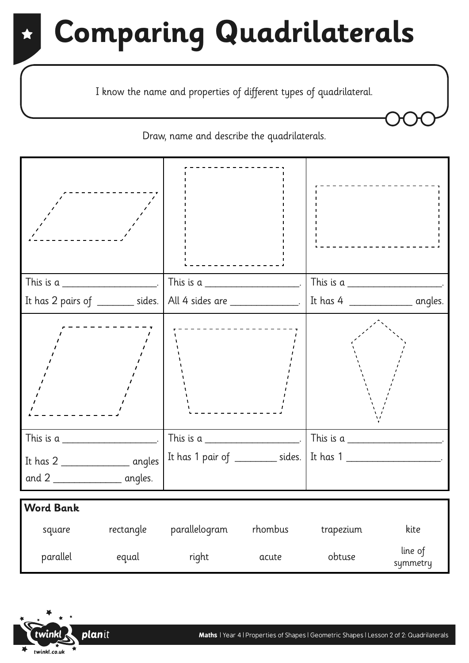# **Comparing Quadrilaterals**

I know the name and properties of different types of quadrilateral.

Draw, name and describe the quadrilaterals.



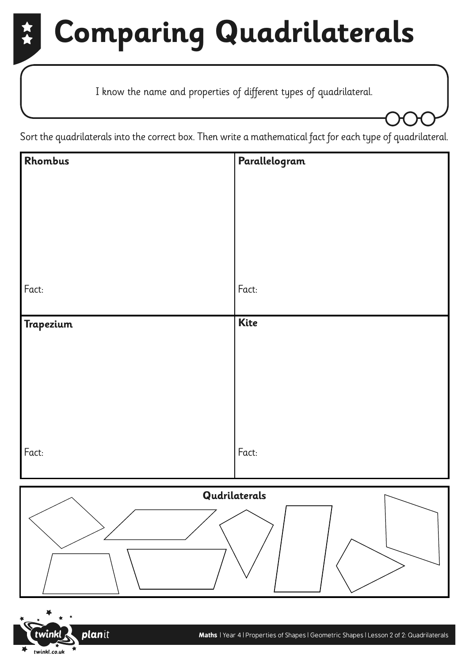# **Comparing Quadrilaterals**

I know the name and properties of different types of quadrilateral.

Sort the quadrilaterals into the correct box. Then write a mathematical fact for each type of quadrilateral.

| Rhombus       | Parallelogram |  |  |  |  |  |
|---------------|---------------|--|--|--|--|--|
|               |               |  |  |  |  |  |
|               |               |  |  |  |  |  |
|               |               |  |  |  |  |  |
|               |               |  |  |  |  |  |
|               |               |  |  |  |  |  |
| Fact:         | Fact:         |  |  |  |  |  |
| Trapezium     | <b>Kite</b>   |  |  |  |  |  |
|               |               |  |  |  |  |  |
|               |               |  |  |  |  |  |
|               |               |  |  |  |  |  |
|               |               |  |  |  |  |  |
| Fact:         | Fact:         |  |  |  |  |  |
|               |               |  |  |  |  |  |
| Qudrilaterals |               |  |  |  |  |  |
| ╱             |               |  |  |  |  |  |
|               |               |  |  |  |  |  |

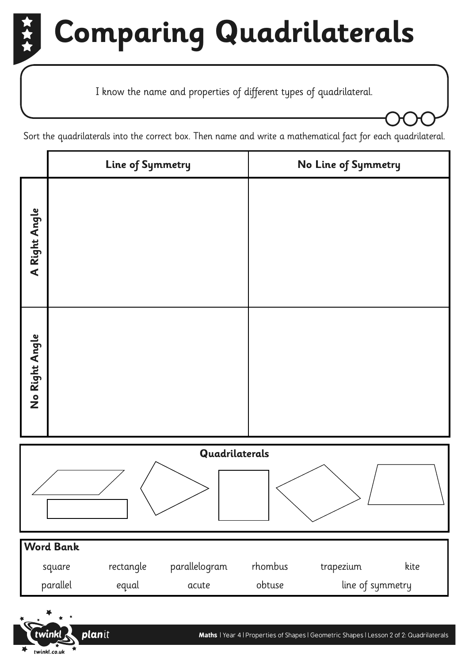# **Comparing Quadrilaterals**

I know the name and properties of different types of quadrilateral.

Sort the quadrilaterals into the correct box. Then name and write a mathematical fact for each quadrilateral.

|                  | Line of Symmetry |           |               |         | No Line of Symmetry |      |  |  |
|------------------|------------------|-----------|---------------|---------|---------------------|------|--|--|
| A Right Angle    |                  |           |               |         |                     |      |  |  |
| No Right Angle   |                  |           |               |         |                     |      |  |  |
| Quadrilaterals   |                  |           |               |         |                     |      |  |  |
|                  |                  |           |               |         |                     |      |  |  |
| <b>Word Bank</b> |                  |           |               |         |                     |      |  |  |
|                  | square           | rectangle | parallelogram | rhombus | trapezium           | kite |  |  |
|                  | parallel         | equal     | acute         | obtuse  | line of symmetry    |      |  |  |

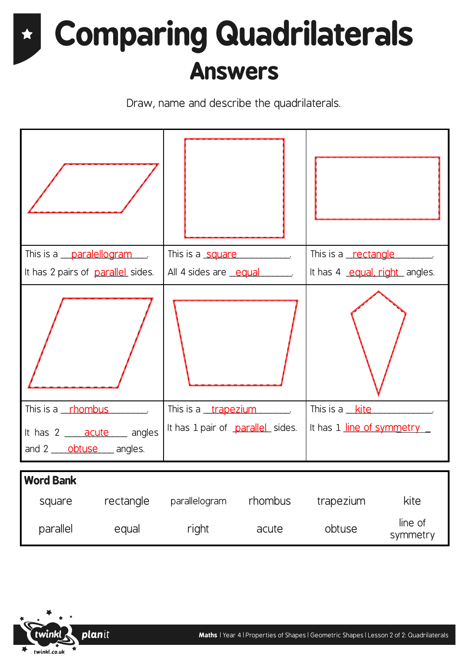#### **Comparing Quadrilaterals Answers**

Draw, name and describe the quadrilaterals.



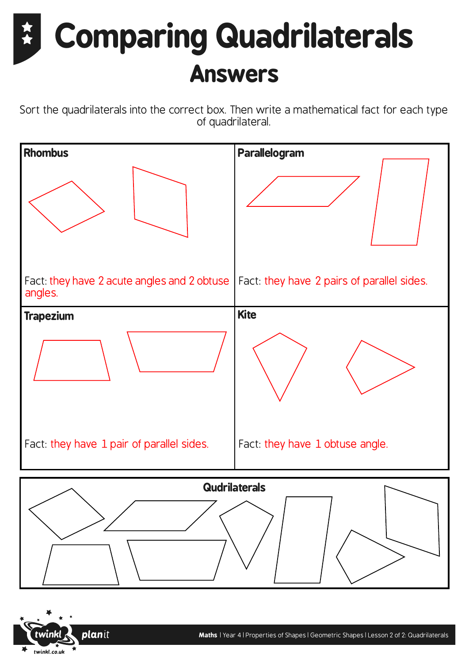### **Comparing Quadrilaterals Answers**

Sort the quadrilaterals into the correct box. Then write a mathematical fact for each type of quadrilateral.